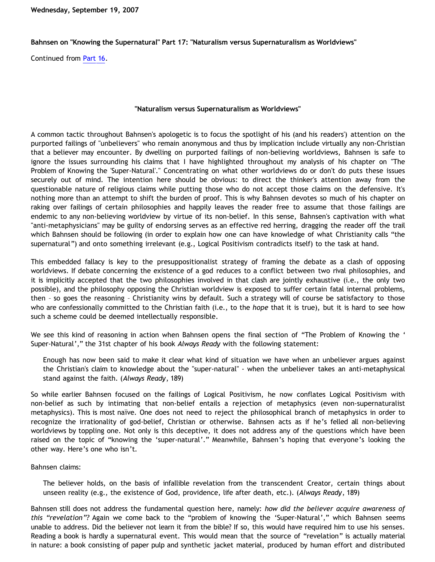## **Bahnsen on "Knowing the Supernatural" Part 17: "Naturalism versus Supernaturalism as Worldviews"**

Continued from [Part 16](http://bahnsenburner.blogspot.com/2007/09/bahnsen-on-knowing-supernatural-part-16.html).

## **"Naturalism versus Supernaturalism as Worldviews"**

A common tactic throughout Bahnsen's apologetic is to focus the spotlight of his (and his readers') attention on the purported failings of "unbelievers" who remain anonymous and thus by implication include virtually any non-Christian that a believer may encounter. By dwelling on purported failings of non-believing worldviews, Bahnsen is safe to ignore the issues surrounding his claims that I have highlighted throughout my analysis of his chapter on "The Problem of Knowing the 'Super-Natural'." Concentrating on what other worldviews do or don't do puts these issues securely out of mind. The intention here should be obvious: to direct the thinker's attention away from the questionable nature of religious claims while putting those who do not accept those claims on the defensive. It's nothing more than an attempt to shift the burden of proof. This is why Bahnsen devotes so much of his chapter on raking over failings of certain philosophies and happily leaves the reader free to assume that those failings are endemic to any non-believing worldview by virtue of its non-belief. In this sense, Bahnsen's captivation with what "anti-metaphysicians" may be guilty of endorsing serves as an effective red herring, dragging the reader off the trail which Bahnsen should be following (in order to explain how one can have knowledge of what Christianity calls "the supernatural") and onto something irrelevant (e.g., Logical Positivism contradicts itself) to the task at hand.

This embedded fallacy is key to the presuppositionalist strategy of framing the debate as a clash of opposing worldviews. If debate concerning the existence of a god reduces to a conflict between two rival philosophies, and it is implicitly accepted that the two philosophies involved in that clash are jointly exhaustive (i.e., the only two possible), and the philosophy opposing the Christian worldview is exposed to suffer certain fatal internal problems, then – so goes the reasoning – Christianity wins by default. Such a strategy will of course be satisfactory to those who are confessionally committed to the Christian faith (i.e., to the *hope* that it is true), but it is hard to see how such a scheme could be deemed intellectually responsible.

We see this kind of reasoning in action when Bahnsen opens the final section of "The Problem of Knowing the ' Super-Natural'," the 31st chapter of his book *Always Ready* with the following statement:

Enough has now been said to make it clear what kind of situation we have when an unbeliever argues against the Christian's claim to knowledge about the "super-natural" - when the unbeliever takes an anti-metaphysical stand against the faith. (*Always Ready*, 189)

So while earlier Bahnsen focused on the failings of Logical Positivism, he now conflates Logical Positivism with non-belief as such by intimating that non-belief entails a rejection of metaphysics (even non-supernaturalist metaphysics). This is most naïve. One does not need to reject the philosophical branch of metaphysics in order to recognize the irrationality of god-belief, Christian or otherwise. Bahnsen acts as if he's felled all non-believing worldviews by toppling one. Not only is this deceptive, it does not address any of the questions which have been raised on the topic of "knowing the 'super-natural'." Meanwhile, Bahnsen's hoping that everyone's looking the other way. Here's one who isn't.

## Bahnsen claims:

The believer holds, on the basis of infallible revelation from the transcendent Creator, certain things about unseen reality (e.g., the existence of God, providence, life after death, etc.). (*Always Ready*, 189)

Bahnsen still does not address the fundamental question here, namely: *how did the believer acquire awareness of this "revelation"?* Again we come back to the "problem of knowing the 'Super-Natural'," which Bahnsen seems unable to address. Did the believer not learn it from the bible? If so, this would have required him to use his senses. Reading a book is hardly a supernatural event. This would mean that the source of "revelation" is actually material in nature: a book consisting of paper pulp and synthetic jacket material, produced by human effort and distributed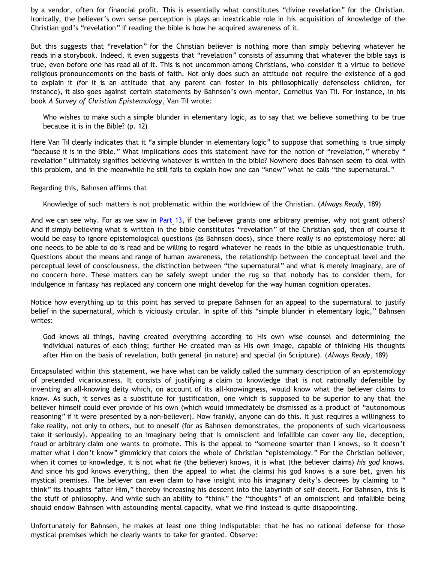by a vendor, often for financial profit. This is essentially what constitutes "divine revelation" for the Christian. Ironically, the believer's own sense perception is plays an inextricable role in his acquisition of knowledge of the Christian god's "revelation" if reading the bible is how he acquired awareness of it.

But this suggests that "revelation" for the Christian believer is nothing more than simply believing whatever he reads in a storybook. Indeed, it even suggests that "revelation" consists of assuming that whatever the bible says is true, even before one has read all of it. This is not uncommon among Christians, who consider it a virtue to believe religious pronouncements on the basis of faith. Not only does such an attitude not require the existence of a god to explain it (for it is an attitude that any parent can foster in his philosophically defenseless children, for instance), it also goes against certain statements by Bahnsen's own mentor, Cornelius Van Til. For instance, in his book *A Survey of Christian Epistemology*, Van Til wrote:

Who wishes to make such a simple blunder in elementary logic, as to say that we believe something to be true because it is in the Bible? (p. 12)

Here Van Til clearly indicates that it "a simple blunder in elementary logic" to suppose that something is true simply "because it is in the Bible." What implications does this statement have for the notion of "revelation," whereby " revelation" ultimately signifies believing whatever is written in the bible? Nowhere does Bahnsen seem to deal with this problem, and in the meanwhile he still fails to explain how one can "know" what he calls "the supernatural."

## Regarding this, Bahnsen affirms that

Knowledge of such matters is not problematic within the worldview of the Christian. (*Always Ready*, 189)

And we can see why. For as we saw in [Part 13,](http://bahnsenburner.blogspot.com/2007/08/bahnsen-on-knowing-supernatural-part-13.html) if the believer grants one arbitrary premise, why not grant others? And if simply believing what is written in the bible constitutes "revelation" of the Christian god, then of course it would be easy to ignore epistemological questions (as Bahnsen does), since there really is no epistemology here: all one needs to be able to do is read and be willing to regard whatever he reads in the bible as unquestionable truth. Questions about the means and range of human awareness, the relationship between the conceptual level and the perceptual level of consciousness, the distinction between "the supernatural" and what is merely imaginary, are of no concern here. These matters can be safely swept under the rug so that nobody has to consider them, for indulgence in fantasy has replaced any concern one might develop for the way human cognition operates.

Notice how everything up to this point has served to prepare Bahnsen for an appeal to the supernatural to justify belief in the supernatural, which is viciously circular. In spite of this "simple blunder in elementary logic," Bahnsen writes:

God knows all things, having created everything according to His own wise counsel and determining the individual natures of each thing; further He created man as His own image, capable of thinking His thoughts after Him on the basis of revelation, both general (in nature) and special (in Scripture). (*Always Ready*, 189)

Encapsulated within this statement, we have what can be validly called the summary description of an epistemology of pretended vicariousness. It consists of justifying a claim to knowledge that is not rationally defensible by inventing an all-knowing deity which, on account of its all-knowingness, would know what the believer claims to know. As such, it serves as a substitute for justification, one which is supposed to be superior to any that the believer himself could ever provide of his own (which would immediately be dismissed as a product of "autonomous reasoning" if it were presented by a non-believer). Now frankly, anyone can do this. It just requires a willingness to fake reality, not only to others, but to oneself (for as Bahnsen demonstrates, the proponents of such vicariousness take it seriously). Appealing to an imaginary being that is omniscient and infallible can cover any lie, deception, fraud or arbitrary claim one wants to promote. This is the appeal to "someone smarter than I knows, so it doesn't matter what I don't know" gimmickry that colors the whole of Christian "epistemology." For the Christian believer, when it comes to knowledge, it is not what *he* (the believer) knows, it is what (the believer claims) *his god* knows. And since his god knows everything, then the appeal to what (he claims) his god knows is a sure bet, given his mystical premises. The believer can even claim to have insight into his imaginary deity's decrees by claiming to " think" its thoughts "after Him," thereby increasing his descent into the labyrinth of self-deceit. For Bahnsen, this is the stuff of philosophy. And while such an ability to "think" the "thoughts" of an omniscient and infallible being should endow Bahnsen with astounding mental capacity, what we find instead is quite disappointing.

Unfortunately for Bahnsen, he makes at least one thing indisputable: that he has no rational defense for those mystical premises which he clearly wants to take for granted. Observe: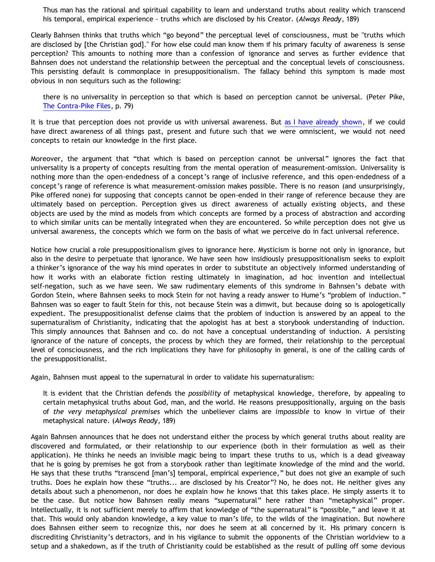Thus man has the rational and spiritual capability to learn and understand truths about reality which transcend his temporal, empirical experience - truths which are disclosed by his Creator. (*Always Ready*, 189)

Clearly Bahnsen thinks that truths which "go beyond" the perceptual level of consciousness, must be "truths which are disclosed by [the Christian god]." For how else could man know them if his primary faculty of awareness is sense perception? This amounts to nothing more than a confession of ignorance and serves as further evidence that Bahnsen does not understand the relationship between the perceptual and the conceptual levels of consciousness. This persisting default is commonplace in presuppositionalism. The fallacy behind this symptom is made most obvious in non sequiturs such as the following:

there is no universality in perception so that which is based on perception cannot be universal. (Peter Pike, [The Contra-Pike Files](http://www.geocities.com/katholon/Contra_Pike.pdf), p. 79)

It is true that perception does not provide us with universal awareness. But [as I have already shown](http://bahnsenburner.blogspot.com/2007/04/would-omniscient-mind-have-knowledge-in.html), if we could have direct awareness of all things past, present and future such that we were omniscient, we would not need concepts to retain our knowledge in the first place.

Moreover, the argument that "that which is based on perception cannot be universal" ignores the fact that universality is a property of concepts resulting from the mental operation of measurement-omission. Universality is nothing more than the open-endedness of a concept's range of inclusive reference, and this open-endedness of a concept's range of reference is what measurement-omission makes possible. There is no reason (and unsurprisingly, Pike offered none) for supposing that concepts cannot be open-ended in their range of reference because they are ultimately based on perception. Perception gives us direct awareness of actually existing objects, and these objects are used by the mind as models from which concepts are formed by a process of abstraction and according to which similar units can be mentally integrated when they are encountered. So while perception does not give us universal awareness, the concepts which we form on the basis of what we perceive do in fact universal reference.

Notice how crucial a role presuppositionalism gives to ignorance here. Mysticism is borne not only in ignorance, but also in the desire to perpetuate that ignorance. We have seen how insidiously presuppositionalism seeks to exploit a thinker's ignorance of the way his mind operates in order to substitute an objectively informed understanding of how it works with an elaborate fiction resting ultimately in imagination, ad hoc invention and intellectual self-negation, such as we have seen. We saw rudimentary elements of this syndrome in Bahnsen's debate with Gordon Stein, where Bahnsen seeks to mock Stein for not having a ready answer to Hume's "problem of induction." Bahnsen was so eager to fault Stein for this, not because Stein was a dimwit, but because doing so is apologetically expedient. The presuppositionalist defense claims that the problem of induction is answered by an appeal to the supernaturalism of Christianity, indicating that the apologist has at best a storybook understanding of induction. This simply announces that Bahnsen and co. do not have a conceptual understanding of induction. A persisting ignorance of the nature of concepts, the process by which they are formed, their relationship to the perceptual level of consciousness, and the rich implications they have for philosophy in general, is one of the calling cards of the presuppositionalist.

Again, Bahnsen must appeal to the supernatural in order to validate his supernaturalism:

It is evident that the Christian defends the *possibility* of metaphysical knowledge, therefore, by appealing to certain metaphysical truths about God, man, and the world. He reasons presuppositionally, arguing on the basis of *the very metaphysical premises* which the unbeliever claims are *impossible* to know in virtue of their metaphysical nature. (*Always Ready*, 189)

Again Bahnsen announces that he does not understand either the process by which general truths about reality are discovered and formulated, or their relationship to our experience (both in their formulation as well as their application). He thinks he needs an invisible magic being to impart these truths to us, which is a dead giveaway that he is going by premises he got from a storybook rather than legitimate knowledge of the mind and the world. He says that these truths "transcend [man's] temporal, empirical experience," but does not give an example of such truths. Does he explain how these "truths... are disclosed by his Creator"? No, he does not. He neither gives any details about such a phenomenon, nor does he explain how he knows that this takes place. He simply asserts it to be the case. But notice how Bahnsen really means "supernatural" here rather than "metaphysical" proper. Intellectually, it is not sufficient merely to affirm that knowledge of "the supernatural" is "possible," and leave it at that. This would only abandon knowledge, a key value to man's life, to the wilds of the imagination. But nowhere does Bahnsen either seem to recognize this, nor does he seem at all concerned by it. His primary concern is discrediting Christianity's detractors, and in his vigilance to submit the opponents of the Christian worldview to a setup and a shakedown, as if the truth of Christianity could be established as the result of pulling off some devious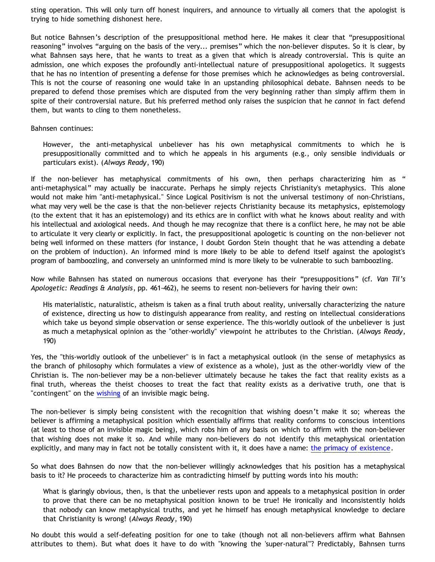sting operation. This will only turn off honest inquirers, and announce to virtually all comers that the apologist is trying to hide something dishonest here.

But notice Bahnsen's description of the presuppositional method here. He makes it clear that "presuppositional reasoning" involves "arguing on the basis of the very... premises" which the non-believer disputes. So it is clear, by what Bahnsen says here, that he wants to treat as a given that which is already controversial. This is quite an admission, one which exposes the profoundly anti-intellectual nature of presuppositional apologetics. It suggests that he has no intention of presenting a defense for those premises which he acknowledges as being controversial. This is not the course of reasoning one would take in an upstanding philosophical debate. Bahnsen needs to be prepared to defend those premises which are disputed from the very beginning rather than simply affirm them in spite of their controversial nature. But his preferred method only raises the suspicion that he *cannot* in fact defend them, but wants to cling to them nonetheless.

Bahnsen continues:

However, the anti-metaphysical unbeliever has his own metaphysical commitments to which he is presuppositionally committed and to which he appeals in his arguments (e.g., only sensible individuals or particulars exist). (*Always Ready*, 190)

If the non-believer has metaphysical commitments of his own, then perhaps characterizing him as " anti-metaphysical" may actually be inaccurate. Perhaps he simply rejects Christianity's metaphysics. This alone would not make him "anti-metaphysical." Since Logical Positivism is not the universal testimony of non-Christians, what may very well be the case is that the non-believer rejects Christianity because its metaphysics, epistemology (to the extent that it has an epistemology) and its ethics are in conflict with what he knows about reality and with his intellectual and axiological needs. And though he may recognize that there is a conflict here, he may not be able to articulate it very clearly or explicitly. In fact, the presuppositional apologetic is counting on the non-believer not being well informed on these matters (for instance, I doubt Gordon Stein thought that he was attending a debate on the problem of induction). An informed mind is more likely to be able to defend itself against the apologist's program of bamboozling, and conversely an uninformed mind is more likely to be vulnerable to such bamboozling.

Now while Bahnsen has stated on numerous occasions that everyone has their "presuppositions" (cf. *Van Til's Apologetic: Readings & Analysis*, pp. 461-462), he seems to resent non-believers for having their own:

His materialistic, naturalistic, atheism is taken as a final truth about reality, universally characterizing the nature of existence, directing us how to distinguish appearance from reality, and resting on intellectual considerations which take us beyond simple observation or sense experience. The this-worldly outlook of the unbeliever is just as much a metaphysical opinion as the "other-worldly" viewpoint he attributes to the Christian. (*Always Ready*, 190)

Yes, the "this-worldly outlook of the unbeliever" is in fact a metaphysical outlook (in the sense of metaphysics as the branch of philosophy which formulates a view of existence as a whole), just as the other-worldly view of the Christian is. The non-believer may be a non-believer ultimately because he takes the fact that reality exists as a final truth, whereas the theist chooses to treat the fact that reality exists as a derivative truth, one that is "contingent" on the [wishing](http://bahnsenburner.blogspot.com/2006/12/wishing-and-christian-deity.html) of an invisible magic being.

The non-believer is simply being consistent with the recognition that wishing doesn't make it so; whereas the believer is affirming a metaphysical position which essentially affirms that reality conforms to conscious intentions (at least to those of an invisible magic being), which robs him of any basis on which to affirm with the non-believer that wishing does not make it so. And while many non-believers do not identify this metaphysical orientation explicitly, and many may in fact not be totally consistent with it, it does have a name: [the primacy of existence](http://bahnsenburner.blogspot.com/2006/12/axioms-and-primacy-of-existence.html).

So what does Bahnsen do now that the non-believer willingly acknowledges that his position has a metaphysical basis to it? He proceeds to characterize him as contradicting himself by putting words into his mouth:

What is glaringly obvious, then, is that the unbeliever rests upon and appeals to a metaphysical position in order to prove that there can be no metaphysical position known to be true! He ironically and inconsistently holds that nobody can know metaphysical truths, and yet he himself has enough metaphysical knowledge to declare that Christianity is wrong! (*Always Ready*, 190)

No doubt this would a self-defeating position for one to take (though not all non-believers affirm what Bahnsen attributes to them). But what does it have to do with "knowing the 'super-natural'"? Predictably, Bahnsen turns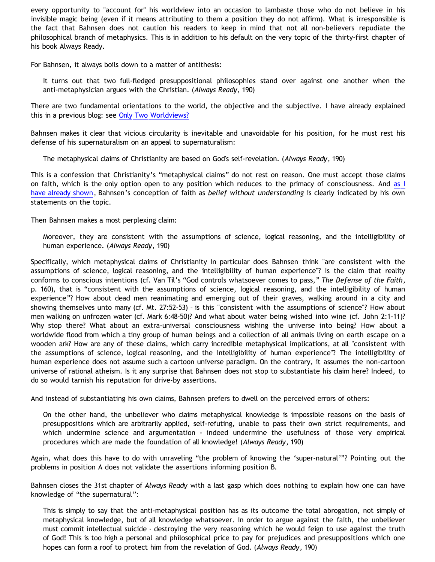every opportunity to "account for" his worldview into an occasion to lambaste those who do not believe in his invisible magic being (even if it means attributing to them a position they do not affirm). What is irresponsible is the fact that Bahnsen does not caution his readers to keep in mind that not all non-believers repudiate the philosophical branch of metaphysics. This is in addition to his default on the very topic of the thirty-first chapter of his book Always Ready.

For Bahnsen, it always boils down to a matter of antithesis:

It turns out that two full-fledged presuppositional philosophies stand over against one another when the anti-metaphysician argues with the Christian. (*Always Ready*, 190)

There are two fundamental orientations to the world, the objective and the subjective. I have already explained this in a previous blog: see [Only Two Worldviews?](http://bahnsenburner.blogspot.com/2005/07/only-two-worldviews.html)

Bahnsen makes it clear that vicious circularity is inevitable and unavoidable for his position, for he must rest his defense of his supernaturalism on an appeal to supernaturalism:

The metaphysical claims of Christianity are based on God's self-revelation. (*Always Ready*, 190)

This is a confession that Christianity's "metaphysical claims" do not rest on reason. One must accept those claims on faith, which is the only option open to any position which reduces to the primacy of consciousness. And [as I](http://bahnsenburner.blogspot.com/2007/01/faith-as-belief-without-understanding.html) [have already shown,](http://bahnsenburner.blogspot.com/2007/01/faith-as-belief-without-understanding.html) Bahnsen's conception of faith as *belief without understanding* is clearly indicated by his own statements on the topic.

Then Bahnsen makes a most perplexing claim:

Moreover, they are consistent with the assumptions of science, logical reasoning, and the intelligibility of human experience. (*Always Ready*, 190)

Specifically, which metaphysical claims of Christianity in particular does Bahnsen think "are consistent with the assumptions of science, logical reasoning, and the intelligibility of human experience"? Is the claim that reality conforms to conscious intentions (cf. Van Til's "God controls whatsoever comes to pass," *The Defense of the Faith*, p. 160), that is "consistent with the assumptions of science, logical reasoning, and the intelligibility of human experience"? How about dead men reanimating and emerging out of their graves, walking around in a city and showing themselves unto many (cf. Mt. 27:52-53) – is this "consistent with the assumptions of science"? How about men walking on unfrozen water (cf. Mark 6:48-50)? And what about water being wished into wine (cf. John 2:1-11)? Why stop there? What about an extra-universal consciousness wishing the universe into being? How about a worldwide flood from which a tiny group of human beings and a collection of all animals living on earth escape on a wooden ark? How are any of these claims, which carry incredible metaphysical implications, at all "consistent with the assumptions of science, logical reasoning, and the intelligibility of human experience"? The intelligibility of human experience does not assume such a cartoon universe paradigm. On the contrary, it assumes the non-cartoon universe of rational atheism. Is it any surprise that Bahnsen does not stop to substantiate his claim here? Indeed, to do so would tarnish his reputation for drive-by assertions.

And instead of substantiating his own claims, Bahnsen prefers to dwell on the perceived errors of others:

On the other hand, the unbeliever who claims metaphysical knowledge is impossible reasons on the basis of presuppositions which are arbitrarily applied, self-refuting, unable to pass their own strict requirements, and which undermine science and argumentation - indeed undermine the usefulness of those very empirical procedures which are made the foundation of all knowledge! (*Always Ready*, 190)

Again, what does this have to do with unraveling "the problem of knowing the 'super-natural'"? Pointing out the problems in position A does not validate the assertions informing position B.

Bahnsen closes the 31st chapter of *Always Ready* with a last gasp which does nothing to explain how one can have knowledge of "the supernatural":

This is simply to say that the anti-metaphysical position has as its outcome the total abrogation, not simply of metaphysical knowledge, but of all knowledge whatsoever. In order to argue against the faith, the unbeliever must commit intellectual suicide - destroying the very reasoning which he would feign to use against the truth of God! This is too high a personal and philosophical price to pay for prejudices and presuppositions which one hopes can form a roof to protect him from the revelation of God. (*Always Ready*, 190)